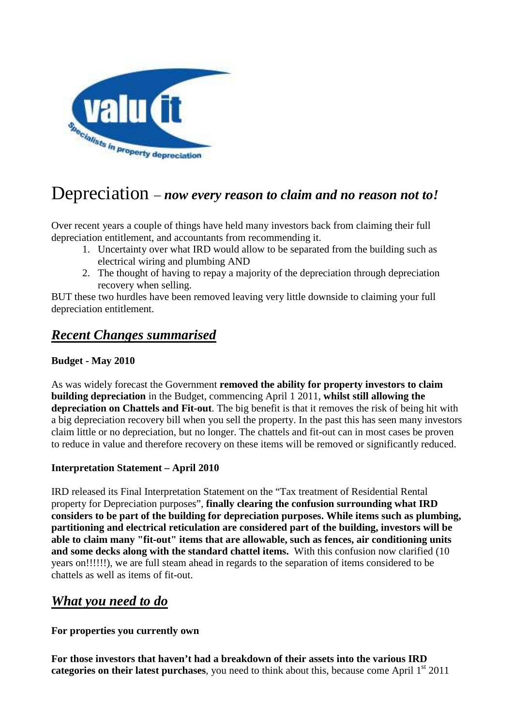

# Depreciation – *now every reason to claim and no reason not to!*

Over recent years a couple of things have held many investors back from claiming their full depreciation entitlement, and accountants from recommending it.

- 1. Uncertainty over what IRD would allow to be separated from the building such as electrical wiring and plumbing AND
- 2. The thought of having to repay a majority of the depreciation through depreciation recovery when selling.

BUT these two hurdles have been removed leaving very little downside to claiming your full depreciation entitlement.

# *Recent Changes summarised*

### **Budget - May 2010**

As was widely forecast the Government **removed the ability for property investors to claim building depreciation** in the Budget, commencing April 1 2011, **whilst still allowing the depreciation on Chattels and Fit-out**. The big benefit is that it removes the risk of being hit with a big depreciation recovery bill when you sell the property. In the past this has seen many investors claim little or no depreciation, but no longer. The chattels and fit-out can in most cases be proven to reduce in value and therefore recovery on these items will be removed or significantly reduced.

#### **Interpretation Statement – April 2010**

IRD released its Final Interpretation Statement on the "Tax treatment of Residential Rental property for Depreciation purposes", **finally clearing the confusion surrounding what IRD considers to be part of the building for depreciation purposes. While items such as plumbing, partitioning and electrical reticulation are considered part of the building, investors will be able to claim many "fit-out" items that are allowable, such as fences, air conditioning units and some decks along with the standard chattel items.** With this confusion now clarified (10 years on!!!!!!), we are full steam ahead in regards to the separation of items considered to be chattels as well as items of fit-out.

# *What you need to do*

**For properties you currently own** 

**For those investors that haven't had a breakdown of their assets into the various IRD**  categories on their latest purchases, you need to think about this, because come April 1<sup>st</sup> 2011